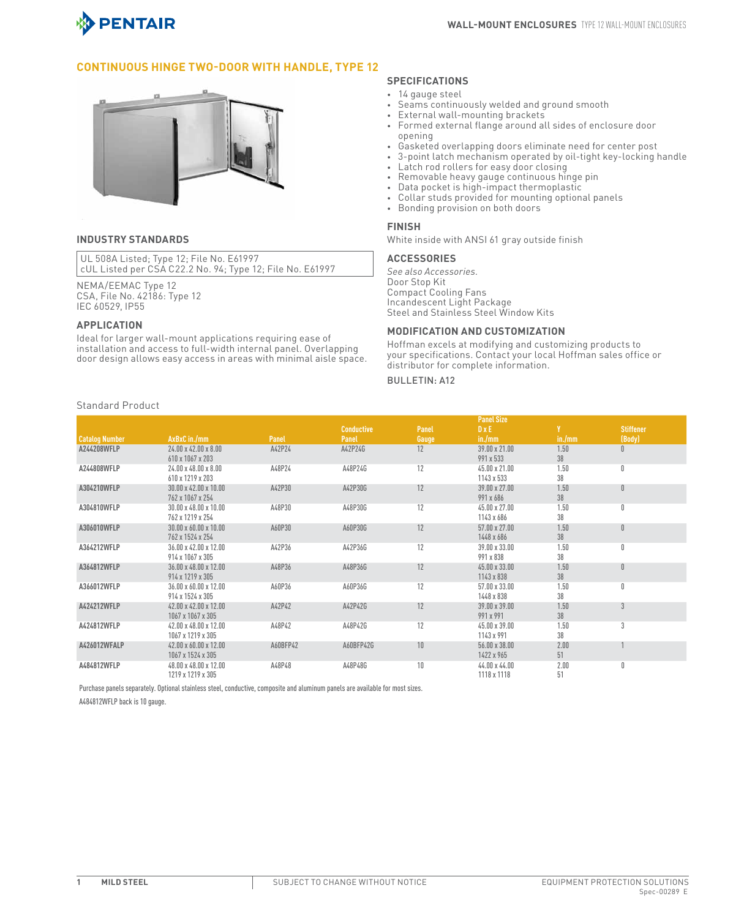

## **Continuous Hinge Two-Door with Handle, Type 12**



#### **INDUSTRY STANDARDS**

UL 508A Listed; Type 12; File No. E61997 cUL Listed per CSA C22.2 No. 94; Type 12; File No. E61997

NEMA/EEMAC Type 12 CSA, File No. 42186: Type 12 IEC 60529, IP55

#### **APPLICATION**

Ideal for larger wall-mount applications requiring ease of installation and access to full-width internal panel. Overlapping door design allows easy access in areas with minimal aisle space.

## **SPECIFICATIONS**

- 14 gauge steel
- Seams continuously welded and ground smooth
- External wall-mounting brackets
- Formed external flange around all sides of enclosure door opening
- Gasketed overlapping doors eliminate need for center post
- 3-point latch mechanism operated by oil-tight key-locking handle
- Latch rod rollers for easy door closing
- Removable heavy gauge continuous hinge pin
- Data pocket is high-impact thermoplastic
- Collar studies provided for mounting optional panels<br>• Ronding provided for mounting optional panels
- Bonding provision on both doors

#### **FINISH**

White inside with ANSI 61 gray outside finish

#### **ACCESSORIES**

*See also Accessories.* Door Stop Kit Compact Cooling Fans Incandescent Light Package Steel and Stainless Steel Window Kits

## **MODIFICATION AND CUSTOMIZATION**

Hoffman excels at modifying and customizing products to your specifications. Contact your local Hoffman sales office or distributor for complete information.

## Bulletin: A12

|                       |                                   |          |                   |       | <b>Panel Size</b>    |        |                  |
|-----------------------|-----------------------------------|----------|-------------------|-------|----------------------|--------|------------------|
|                       |                                   |          | <b>Conductive</b> | Panel | $D \times E$         |        | <b>Stiffener</b> |
| <b>Catalog Number</b> | AxBxC in./mm                      | Panel    | Panel             | Gauge | in./mm               | in./mm | (Body)           |
| A244208WFLP           | $24.00 \times 42.00 \times 8.00$  | A42P24   | A42P24G           | 12    | 39.00 x 21.00        | 1.50   | $\mathbf{0}$     |
|                       | 610 x 1067 x 203                  |          |                   |       | 991 x 533            | 38     |                  |
| A244808WFLP           | $24.00 \times 48.00 \times 8.00$  | A48P24   | A48P24G           | 12    | $45.00 \times 21.00$ | 1.50   | 0                |
|                       | 610 x 1219 x 203                  |          |                   |       | 1143 x 533           | 38     |                  |
| A304210WFLP           | $30.00 \times 42.00 \times 10.00$ | A42P30   | A42P30G           | 12    | $39.00 \times 27.00$ | 1.50   | $\mathbf{0}$     |
|                       | 762 x 1067 x 254                  |          |                   |       | 991 x 686            | 38     |                  |
| A304810WFLP           | $30.00 \times 48.00 \times 10.00$ | A48P30   | A48P30G           | 12    | $45.00 \times 27.00$ | 1.50   | 0                |
|                       | 762 x 1219 x 254                  |          |                   |       | 1143 x 686           | 38     |                  |
| A306010WFLP           | $30.00 \times 60.00 \times 10.00$ | A60P30   | A60P30G           | 12    | $57.00 \times 27.00$ | 1.50   | $\theta$         |
|                       | 762 x 1524 x 254                  |          |                   |       | 1448 x 686           | 38     |                  |
| A364212WFLP           | $36.00 \times 42.00 \times 12.00$ | A42P36   | A42P36G           | 12    | 39.00 x 33.00        | 1.50   | $\mathbf{0}$     |
|                       | 914 x 1067 x 305                  |          |                   |       | 991 x 838            | 38     |                  |
| A364812WFLP           | $36.00 \times 48.00 \times 12.00$ | A48P36   | A48P36G           | 12    | $45.00 \times 33.00$ | 1.50   | $\mathbf{0}$     |
|                       | 914 x 1219 x 305                  |          |                   |       | 1143 x 838           | 38     |                  |
| A366012WFLP           | $36.00 \times 60.00 \times 12.00$ | A60P36   | A60P36G           | 12    | $57.00 \times 33.00$ | 1.50   | $\mathsf{n}$     |
|                       | 914 x 1524 x 305                  |          |                   |       | 1448 x 838           | 38     |                  |
| A424212WFLP           | 42.00 x 42.00 x 12.00             | A42P42   | A42P42G           | 12    | $39.00 \times 39.00$ | 1.50   | $\mathcal{R}$    |
|                       | 1067 x 1067 x 305                 |          |                   |       | 991 x 991            | 38     |                  |
| A424812WFLP           | $42.00 \times 48.00 \times 12.00$ | A48P42   | A48P42G           | 12    | $45.00 \times 39.00$ | 1.50   | 3                |
|                       | 1067 x 1219 x 305                 |          |                   |       | 1143 x 991           | 38     |                  |
| A426012WFALP          | 42.00 x 60.00 x 12.00             | A60BFP42 | A60BFP42G         | 10    | $56.00 \times 38.00$ | 2.00   |                  |
|                       | 1067 x 1524 x 305                 |          |                   |       | 1422 x 965           | 51     |                  |
| A484812WFLP           | $48.00 \times 48.00 \times 12.00$ | A48P48   | A48P48G           | 10    | $44.00 \times 44.00$ | 2.00   |                  |
|                       | 1219 x 1219 x 305                 |          |                   |       | 1118 x 1118          | 51     |                  |

Purchase panels separately. Optional stainless steel, conductive, composite and aluminum panels are available for most sizes.

A484812WFLP back is 10 gauge.

### Standard Product